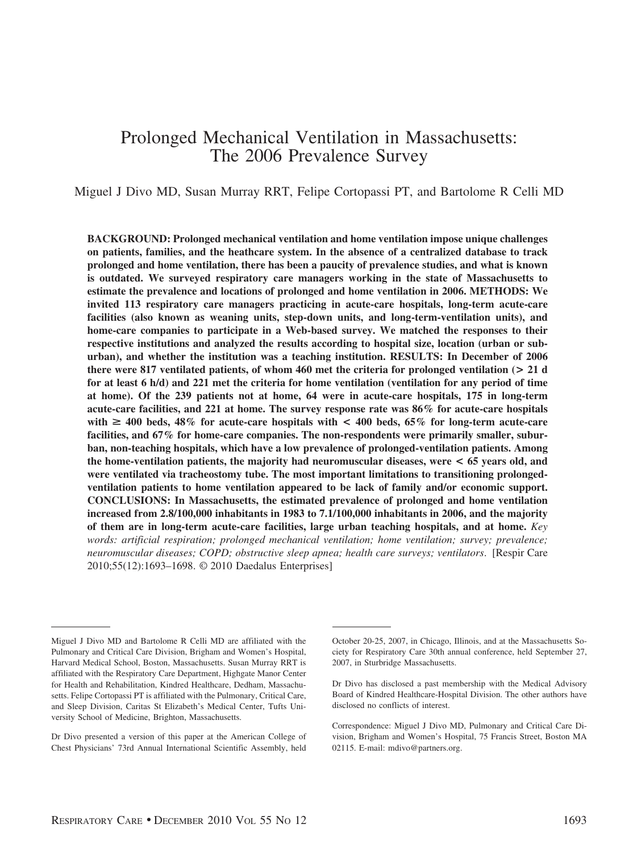# Prolonged Mechanical Ventilation in Massachusetts: The 2006 Prevalence Survey

Miguel J Divo MD, Susan Murray RRT, Felipe Cortopassi PT, and Bartolome R Celli MD

**BACKGROUND: Prolonged mechanical ventilation and home ventilation impose unique challenges on patients, families, and the heathcare system. In the absence of a centralized database to track prolonged and home ventilation, there has been a paucity of prevalence studies, and what is known is outdated. We surveyed respiratory care managers working in the state of Massachusetts to estimate the prevalence and locations of prolonged and home ventilation in 2006. METHODS: We invited 113 respiratory care managers practicing in acute-care hospitals, long-term acute-care facilities (also known as weaning units, step-down units, and long-term-ventilation units), and home-care companies to participate in a Web-based survey. We matched the responses to their respective institutions and analyzed the results according to hospital size, location (urban or suburban), and whether the institution was a teaching institution. RESULTS: In December of 2006 there were 817 ventilated patients, of whom 460 met the criteria for prolonged ventilation (> 21 d for at least 6 h/d) and 221 met the criteria for home ventilation (ventilation for any period of time at home). Of the 239 patients not at home, 64 were in acute-care hospitals, 175 in long-term acute-care facilities, and 221 at home. The survey response rate was 86% for acute-care hospitals** with  $\geq 400$  beds,  $48\%$  for acute-care hospitals with  $\leq 400$  beds,  $65\%$  for long-term acute-care **facilities, and 67% for home-care companies. The non-respondents were primarily smaller, suburban, non-teaching hospitals, which have a low prevalence of prolonged-ventilation patients. Among the home-ventilation patients, the majority had neuromuscular diseases, were < 65 years old, and were ventilated via tracheostomy tube. The most important limitations to transitioning prolongedventilation patients to home ventilation appeared to be lack of family and/or economic support. CONCLUSIONS: In Massachusetts, the estimated prevalence of prolonged and home ventilation increased from 2.8/100,000 inhabitants in 1983 to 7.1/100,000 inhabitants in 2006, and the majority of them are in long-term acute-care facilities, large urban teaching hospitals, and at home.** *Key words: artificial respiration; prolonged mechanical ventilation; home ventilation; survey; prevalence; neuromuscular diseases; COPD; obstructive sleep apnea; health care surveys; ventilators*. [Respir Care 2010;55(12):1693–1698. © 2010 Daedalus Enterprises]

Miguel J Divo MD and Bartolome R Celli MD are affiliated with the Pulmonary and Critical Care Division, Brigham and Women's Hospital, Harvard Medical School, Boston, Massachusetts. Susan Murray RRT is affiliated with the Respiratory Care Department, Highgate Manor Center for Health and Rehabilitation, Kindred Healthcare, Dedham, Massachusetts. Felipe Cortopassi PT is affiliated with the Pulmonary, Critical Care, and Sleep Division, Caritas St Elizabeth's Medical Center, Tufts University School of Medicine, Brighton, Massachusetts.

Dr Divo presented a version of this paper at the American College of Chest Physicians' 73rd Annual International Scientific Assembly, held

October 20-25, 2007, in Chicago, Illinois, and at the Massachusetts Society for Respiratory Care 30th annual conference, held September 27, 2007, in Sturbridge Massachusetts.

Dr Divo has disclosed a past membership with the Medical Advisory Board of Kindred Healthcare-Hospital Division. The other authors have disclosed no conflicts of interest.

Correspondence: Miguel J Divo MD, Pulmonary and Critical Care Division, Brigham and Women's Hospital, 75 Francis Street, Boston MA 02115. E-mail: mdivo@partners.org.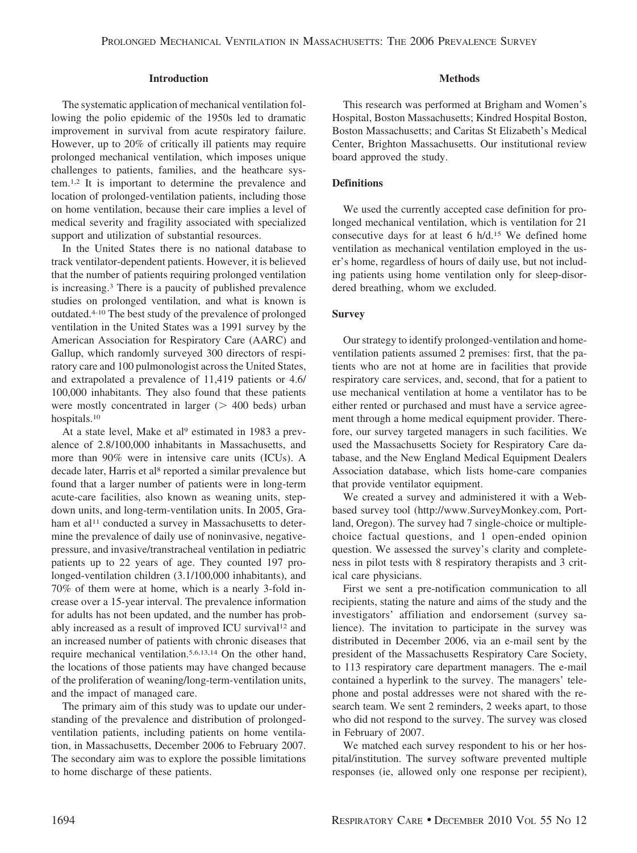## **Introduction**

The systematic application of mechanical ventilation following the polio epidemic of the 1950s led to dramatic improvement in survival from acute respiratory failure. However, up to 20% of critically ill patients may require prolonged mechanical ventilation, which imposes unique challenges to patients, families, and the heathcare system.1,2 It is important to determine the prevalence and location of prolonged-ventilation patients, including those on home ventilation, because their care implies a level of medical severity and fragility associated with specialized support and utilization of substantial resources.

In the United States there is no national database to track ventilator-dependent patients. However, it is believed that the number of patients requiring prolonged ventilation is increasing.3 There is a paucity of published prevalence studies on prolonged ventilation, and what is known is outdated.4-10 The best study of the prevalence of prolonged ventilation in the United States was a 1991 survey by the American Association for Respiratory Care (AARC) and Gallup, which randomly surveyed 300 directors of respiratory care and 100 pulmonologist across the United States, and extrapolated a prevalence of 11,419 patients or 4.6/ 100,000 inhabitants. They also found that these patients were mostly concentrated in larger  $($   $>$  400 beds) urban hospitals.10

At a state level, Make et al<sup>9</sup> estimated in 1983 a prevalence of 2.8/100,000 inhabitants in Massachusetts, and more than 90% were in intensive care units (ICUs). A decade later, Harris et al<sup>8</sup> reported a similar prevalence but found that a larger number of patients were in long-term acute-care facilities, also known as weaning units, stepdown units, and long-term-ventilation units. In 2005, Graham et al<sup>11</sup> conducted a survey in Massachusetts to determine the prevalence of daily use of noninvasive, negativepressure, and invasive/transtracheal ventilation in pediatric patients up to 22 years of age. They counted 197 prolonged-ventilation children (3.1/100,000 inhabitants), and 70% of them were at home, which is a nearly 3-fold increase over a 15-year interval. The prevalence information for adults has not been updated, and the number has probably increased as a result of improved ICU survival<sup>12</sup> and an increased number of patients with chronic diseases that require mechanical ventilation.5,6,13,14 On the other hand, the locations of those patients may have changed because of the proliferation of weaning/long-term-ventilation units, and the impact of managed care.

The primary aim of this study was to update our understanding of the prevalence and distribution of prolongedventilation patients, including patients on home ventilation, in Massachusetts, December 2006 to February 2007. The secondary aim was to explore the possible limitations to home discharge of these patients.

## **Methods**

This research was performed at Brigham and Women's Hospital, Boston Massachusetts; Kindred Hospital Boston, Boston Massachusetts; and Caritas St Elizabeth's Medical Center, Brighton Massachusetts. Our institutional review board approved the study.

## **Definitions**

We used the currently accepted case definition for prolonged mechanical ventilation, which is ventilation for 21 consecutive days for at least 6 h/d.15 We defined home ventilation as mechanical ventilation employed in the user's home, regardless of hours of daily use, but not including patients using home ventilation only for sleep-disordered breathing, whom we excluded.

## **Survey**

Our strategy to identify prolonged-ventilation and homeventilation patients assumed 2 premises: first, that the patients who are not at home are in facilities that provide respiratory care services, and, second, that for a patient to use mechanical ventilation at home a ventilator has to be either rented or purchased and must have a service agreement through a home medical equipment provider. Therefore, our survey targeted managers in such facilities. We used the Massachusetts Society for Respiratory Care database, and the New England Medical Equipment Dealers Association database, which lists home-care companies that provide ventilator equipment.

We created a survey and administered it with a Webbased survey tool (http://www.SurveyMonkey.com, Portland, Oregon). The survey had 7 single-choice or multiplechoice factual questions, and 1 open-ended opinion question. We assessed the survey's clarity and completeness in pilot tests with 8 respiratory therapists and 3 critical care physicians.

First we sent a pre-notification communication to all recipients, stating the nature and aims of the study and the investigators' affiliation and endorsement (survey salience). The invitation to participate in the survey was distributed in December 2006, via an e-mail sent by the president of the Massachusetts Respiratory Care Society, to 113 respiratory care department managers. The e-mail contained a hyperlink to the survey. The managers' telephone and postal addresses were not shared with the research team. We sent 2 reminders, 2 weeks apart, to those who did not respond to the survey. The survey was closed in February of 2007.

We matched each survey respondent to his or her hospital/institution. The survey software prevented multiple responses (ie, allowed only one response per recipient),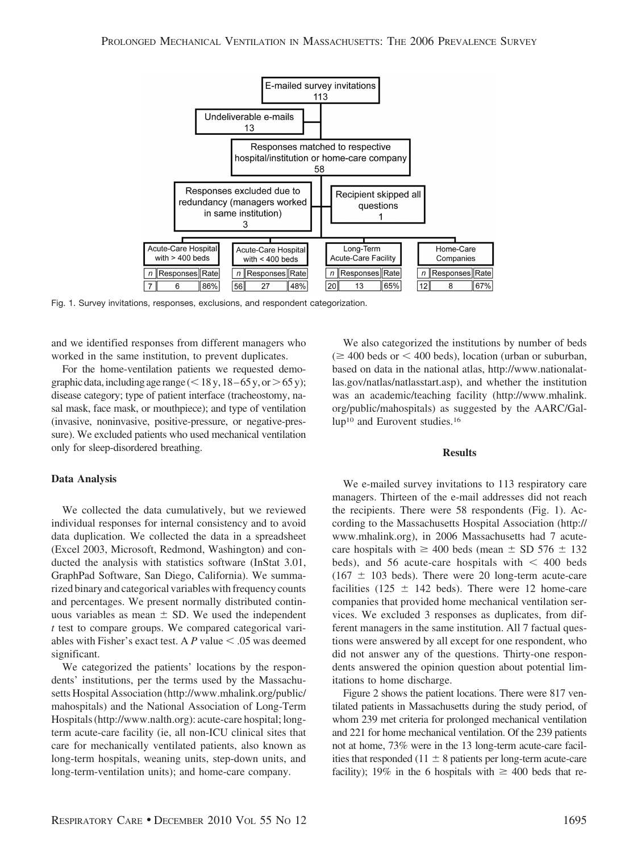

Fig. 1. Survey invitations, responses, exclusions, and respondent categorization.

and we identified responses from different managers who worked in the same institution, to prevent duplicates.

For the home-ventilation patients we requested demographic data, including age range  $(< 18 y, 18-65 y, or > 65 y);$ disease category; type of patient interface (tracheostomy, nasal mask, face mask, or mouthpiece); and type of ventilation (invasive, noninvasive, positive-pressure, or negative-pressure). We excluded patients who used mechanical ventilation only for sleep-disordered breathing.

#### **Data Analysis**

We collected the data cumulatively, but we reviewed individual responses for internal consistency and to avoid data duplication. We collected the data in a spreadsheet (Excel 2003, Microsoft, Redmond, Washington) and conducted the analysis with statistics software (InStat 3.01, GraphPad Software, San Diego, California). We summarized binary and categorical variables with frequency counts and percentages. We present normally distributed continuous variables as mean  $\pm$  SD. We used the independent *t* test to compare groups. We compared categorical variables with Fisher's exact test. A  $P$  value  $\leq .05$  was deemed significant.

We categorized the patients' locations by the respondents' institutions, per the terms used by the Massachusetts Hospital Association (http://www.mhalink.org/public/ mahospitals) and the National Association of Long-Term Hospitals (http://www.nalth.org): acute-care hospital; longterm acute-care facility (ie, all non-ICU clinical sites that care for mechanically ventilated patients, also known as long-term hospitals, weaning units, step-down units, and long-term-ventilation units); and home-care company.

We also categorized the institutions by number of beds  $(\geq 400$  beds or  $\leq 400$  beds), location (urban or suburban, based on data in the national atlas, http://www.nationalatlas.gov/natlas/natlasstart.asp), and whether the institution was an academic/teaching facility (http://www.mhalink. org/public/mahospitals) as suggested by the AARC/Gallup<sup>10</sup> and Eurovent studies.<sup>16</sup>

### **Results**

We e-mailed survey invitations to 113 respiratory care managers. Thirteen of the e-mail addresses did not reach the recipients. There were 58 respondents (Fig. 1). According to the Massachusetts Hospital Association (http:// www.mhalink.org), in 2006 Massachusetts had 7 acutecare hospitals with  $\geq 400$  beds (mean  $\pm$  SD 576  $\pm$  132 beds), and 56 acute-care hospitals with  $\lt$  400 beds  $(167 \pm 103$  beds). There were 20 long-term acute-care facilities (125  $\pm$  142 beds). There were 12 home-care companies that provided home mechanical ventilation services. We excluded 3 responses as duplicates, from different managers in the same institution. All 7 factual questions were answered by all except for one respondent, who did not answer any of the questions. Thirty-one respondents answered the opinion question about potential limitations to home discharge.

Figure 2 shows the patient locations. There were 817 ventilated patients in Massachusetts during the study period, of whom 239 met criteria for prolonged mechanical ventilation and 221 for home mechanical ventilation. Of the 239 patients not at home, 73% were in the 13 long-term acute-care facilities that responded (11  $\pm$  8 patients per long-term acute-care facility); 19% in the 6 hospitals with  $\geq 400$  beds that re-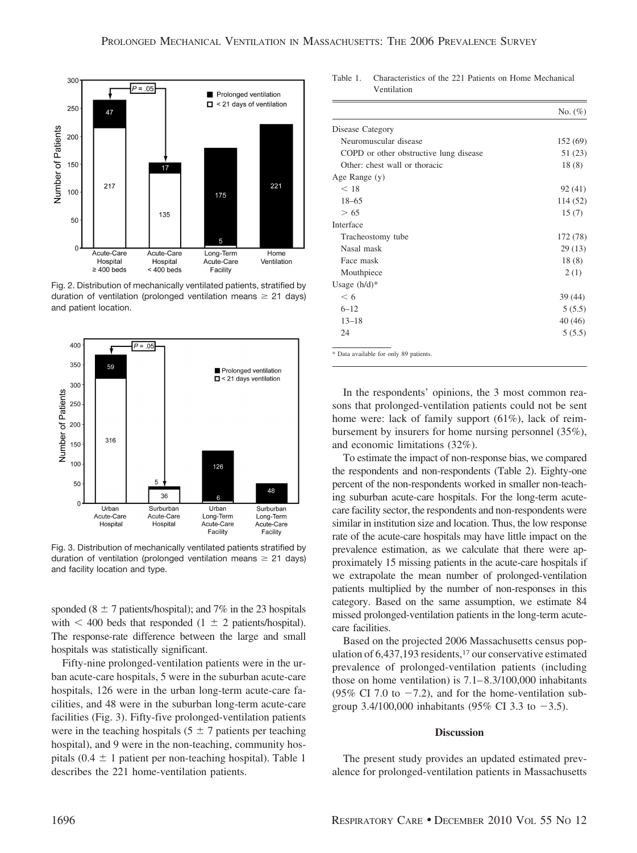

Fig. 2. Distribution of mechanically ventilated patients, stratified by duration of ventilation (prolonged ventilation means  $\geq 21$  days) and patient location.



Fig. 3. Distribution of mechanically ventilated patients stratified by duration of ventilation (prolonged ventilation means  $\geq 21$  days) and facility location and type.

sponded ( $8 \pm 7$  patients/hospital); and 7% in the 23 hospitals with  $\leq 400$  beds that responded (1  $\pm$  2 patients/hospital). The response-rate difference between the large and small hospitals was statistically significant.

Fifty-nine prolonged-ventilation patients were in the urban acute-care hospitals, 5 were in the suburban acute-care hospitals, 126 were in the urban long-term acute-care facilities, and 48 were in the suburban long-term acute-care facilities (Fig. 3). Fifty-five prolonged-ventilation patients were in the teaching hospitals (5  $\pm$  7 patients per teaching hospital), and 9 were in the non-teaching, community hospitals  $(0.4 \pm 1)$  patient per non-teaching hospital). Table 1 describes the 221 home-ventilation patients.

Table 1. Characteristics of the 221 Patients on Home Mechanical Ventilation

|                                        | No. $(\%)$ |
|----------------------------------------|------------|
| Disease Category                       |            |
| Neuromuscular disease                  | 152 (69)   |
| COPD or other obstructive lung disease | 51 (23)    |
| Other: chest wall or thoracic          | 18(8)      |
| Age Range (y)                          |            |
| < 18                                   | 92(41)     |
| $18 - 65$                              | 114 (52)   |
| > 65                                   | 15(7)      |
| Interface                              |            |
| Tracheostomy tube                      | 172 (78)   |
| Nasal mask                             | 29(13)     |
| Face mask                              | 18(8)      |
| Mouthpiece                             | 2(1)       |
| Usage $(h/d)^*$                        |            |
| < 6                                    | 39(44)     |
| $6 - 12$                               | 5(5.5)     |
| $13 - 18$                              | 40(46)     |
| 24                                     | 5(5.5)     |

In the respondents' opinions, the 3 most common reasons that prolonged-ventilation patients could not be sent home were: lack of family support (61%), lack of reimbursement by insurers for home nursing personnel (35%), and economic limitations (32%).

To estimate the impact of non-response bias, we compared the respondents and non-respondents (Table 2). Eighty-one percent of the non-respondents worked in smaller non-teaching suburban acute-care hospitals. For the long-term acutecare facility sector, the respondents and non-respondents were similar in institution size and location. Thus, the low response rate of the acute-care hospitals may have little impact on the prevalence estimation, as we calculate that there were approximately 15 missing patients in the acute-care hospitals if we extrapolate the mean number of prolonged-ventilation patients multiplied by the number of non-responses in this category. Based on the same assumption, we estimate 84 missed prolonged-ventilation patients in the long-term acutecare facilities.

Based on the projected 2006 Massachusetts census population of 6,437,193 residents,17 our conservative estimated prevalence of prolonged-ventilation patients (including those on home ventilation) is 7.1– 8.3/100,000 inhabitants (95% CI 7.0 to  $-7.2$ ), and for the home-ventilation subgroup 3.4/100,000 inhabitants (95% CI 3.3 to  $-3.5$ ).

### **Discussion**

The present study provides an updated estimated prevalence for prolonged-ventilation patients in Massachusetts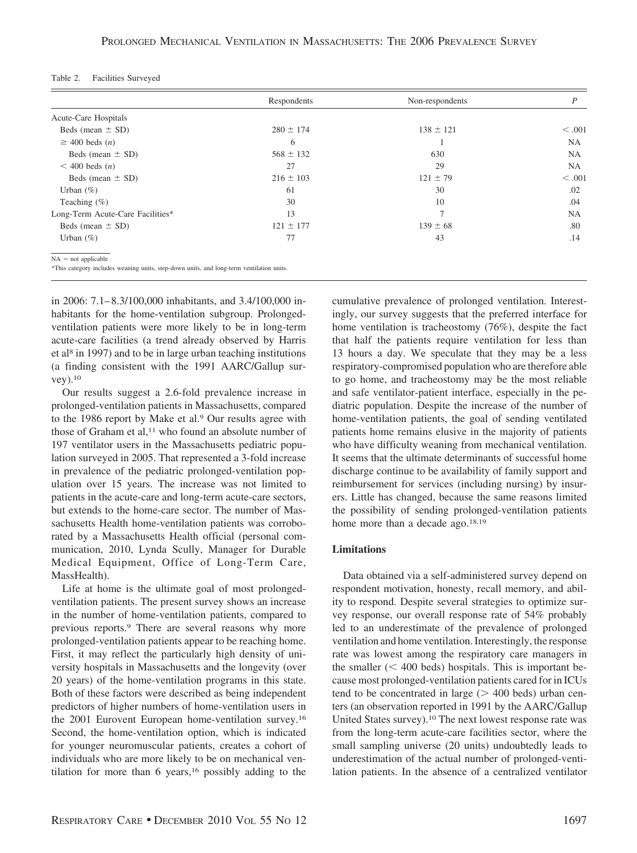| Table 2. |  | Facilities Surveyed |
|----------|--|---------------------|
|----------|--|---------------------|

|                                                                                          | Respondents   | Non-respondents | P         |
|------------------------------------------------------------------------------------------|---------------|-----------------|-----------|
| Acute-Care Hospitals                                                                     |               |                 |           |
| Beds (mean $\pm$ SD)                                                                     | $280 \pm 174$ | $138 \pm 121$   | < .001    |
| $\geq$ 400 beds ( <i>n</i> )                                                             | 6             |                 | <b>NA</b> |
| Beds (mean $\pm$ SD)                                                                     | $568 \pm 132$ | 630             | NA        |
| $<$ 400 beds $(n)$                                                                       | 27            | 29              | NA.       |
| Beds (mean $\pm$ SD)                                                                     | $216 \pm 103$ | $121 \pm 79$    | < .001    |
| Urban $(\%)$                                                                             | 61            | 30              | .02       |
| Teaching $(\% )$                                                                         | 30            | 10              | .04       |
| Long-Term Acute-Care Facilities*                                                         | 13            | $\overline{7}$  | NA.       |
| Beds (mean $\pm$ SD)                                                                     | $121 \pm 177$ | $139 \pm 68$    | .80       |
| Urban $(\% )$                                                                            | 77            | 43              | .14       |
| $NA = not applicable$                                                                    |               |                 |           |
| *This category includes weaning units, step-down units, and long-term ventilation units. |               |                 |           |

in 2006: 7.1– 8.3/100,000 inhabitants, and 3.4/100,000 inhabitants for the home-ventilation subgroup. Prolongedventilation patients were more likely to be in long-term acute-care facilities (a trend already observed by Harris et al8 in 1997) and to be in large urban teaching institutions (a finding consistent with the 1991 AARC/Gallup survey).10

Our results suggest a 2.6-fold prevalence increase in prolonged-ventilation patients in Massachusetts, compared to the 1986 report by Make et al.<sup>9</sup> Our results agree with those of Graham et al,<sup>11</sup> who found an absolute number of 197 ventilator users in the Massachusetts pediatric population surveyed in 2005. That represented a 3-fold increase in prevalence of the pediatric prolonged-ventilation population over 15 years. The increase was not limited to patients in the acute-care and long-term acute-care sectors, but extends to the home-care sector. The number of Massachusetts Health home-ventilation patients was corroborated by a Massachusetts Health official (personal communication, 2010, Lynda Scully, Manager for Durable Medical Equipment, Office of Long-Term Care, MassHealth).

Life at home is the ultimate goal of most prolongedventilation patients. The present survey shows an increase in the number of home-ventilation patients, compared to previous reports.9 There are several reasons why more prolonged-ventilation patients appear to be reaching home. First, it may reflect the particularly high density of university hospitals in Massachusetts and the longevity (over 20 years) of the home-ventilation programs in this state. Both of these factors were described as being independent predictors of higher numbers of home-ventilation users in the 2001 Eurovent European home-ventilation survey.16 Second, the home-ventilation option, which is indicated for younger neuromuscular patients, creates a cohort of individuals who are more likely to be on mechanical ventilation for more than 6 years,16 possibly adding to the cumulative prevalence of prolonged ventilation. Interestingly, our survey suggests that the preferred interface for home ventilation is tracheostomy (76%), despite the fact that half the patients require ventilation for less than 13 hours a day. We speculate that they may be a less respiratory-compromised population who are therefore able to go home, and tracheostomy may be the most reliable and safe ventilator-patient interface, especially in the pediatric population. Despite the increase of the number of home-ventilation patients, the goal of sending ventilated patients home remains elusive in the majority of patients who have difficulty weaning from mechanical ventilation. It seems that the ultimate determinants of successful home discharge continue to be availability of family support and reimbursement for services (including nursing) by insurers. Little has changed, because the same reasons limited the possibility of sending prolonged-ventilation patients home more than a decade ago.<sup>18,19</sup>

## **Limitations**

Data obtained via a self-administered survey depend on respondent motivation, honesty, recall memory, and ability to respond. Despite several strategies to optimize survey response, our overall response rate of 54% probably led to an underestimate of the prevalence of prolonged ventilation and home ventilation. Interestingly, the response rate was lowest among the respiratory care managers in the smaller  $(< 400$  beds) hospitals. This is important because most prolonged-ventilation patients cared for in ICUs tend to be concentrated in large  $($  > 400 beds) urban centers (an observation reported in 1991 by the AARC/Gallup United States survey).10 The next lowest response rate was from the long-term acute-care facilities sector, where the small sampling universe (20 units) undoubtedly leads to underestimation of the actual number of prolonged-ventilation patients. In the absence of a centralized ventilator